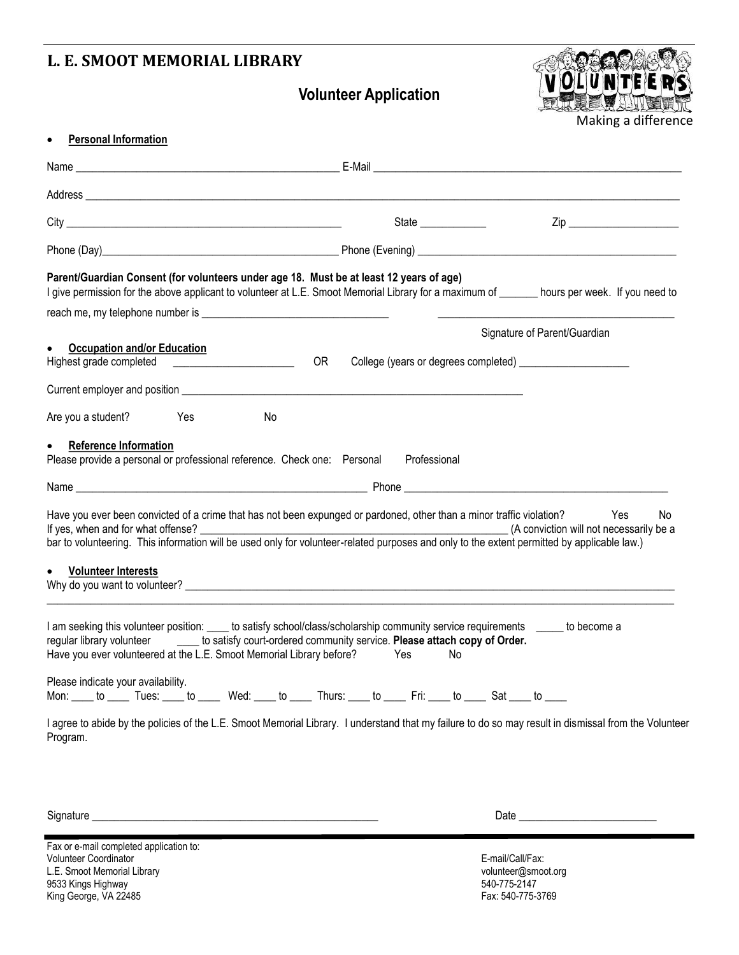## **L. E. SMOOT MEMORIAL LIBRARY**

**Volunteer Application**



Making a difference

|                                                                                                                                                                                                                                                                                                                                                                                                                         | State _____________                     |                              |
|-------------------------------------------------------------------------------------------------------------------------------------------------------------------------------------------------------------------------------------------------------------------------------------------------------------------------------------------------------------------------------------------------------------------------|-----------------------------------------|------------------------------|
|                                                                                                                                                                                                                                                                                                                                                                                                                         |                                         |                              |
| Parent/Guardian Consent (for volunteers under age 18. Must be at least 12 years of age)<br>I give permission for the above applicant to volunteer at L.E. Smoot Memorial Library for a maximum of ______ hours per week. If you need to                                                                                                                                                                                 |                                         |                              |
|                                                                                                                                                                                                                                                                                                                                                                                                                         |                                         |                              |
|                                                                                                                                                                                                                                                                                                                                                                                                                         |                                         | Signature of Parent/Guardian |
| <b>Occupation and/or Education</b><br>Highest grade completed<br><u> and</u><br><u>and</u><br><u>and</u><br>and<br><b>and</b><br><b>and</b><br><b>and</b><br><b>and</b><br><b>and</b><br><b>and</b><br><b>and</b><br><b>and</b><br><b>and</b><br><b>and</b><br><b>and</b><br><b>and</b><br><b>and</b><br><b>and</b><br><b>and</b><br><b>and</b><br><b>and</b><br><b>and</b><br><b>and</b><br><b>and</b><br><b>b</b><br> | <b>OR</b>                               |                              |
|                                                                                                                                                                                                                                                                                                                                                                                                                         |                                         |                              |
| Are you a student? Yes<br>No                                                                                                                                                                                                                                                                                                                                                                                            |                                         |                              |
| <b>Reference Information</b><br>$\bullet$                                                                                                                                                                                                                                                                                                                                                                               |                                         |                              |
| Please provide a personal or professional reference. Check one: Personal                                                                                                                                                                                                                                                                                                                                                | Professional                            |                              |
| Name example and the second control of the second control of the Phone example of the second control of the second control of the second control of the second control of the second control of the second control of the seco                                                                                                                                                                                          |                                         |                              |
| Have you ever been convicted of a crime that has not been expunged or pardoned, other than a minor traffic violation?<br>If yes, when and for what offense?<br>bar to volunteering. This information will be used only for volunteer-related purposes and only to the extent permitted by applicable law.)                                                                                                              | (A conviction will not necessarily be a | Yes<br>No.                   |
| <b>Volunteer Interests</b>                                                                                                                                                                                                                                                                                                                                                                                              |                                         |                              |
| I am seeking this volunteer position: _____ to satisfy school/class/scholarship community service requirements _______ to become a<br>regular library volunteer ______ to satisfy court-ordered community service. Please attach copy of Order.<br>Have you ever volunteered at the L.E. Smoot Memorial Library before?                                                                                                 | Yes<br>No.                              |                              |
| Please indicate your availability.<br>Mon: ____ to _____ Tues: ____ to _____ Wed: ____ to _____ Thurs: ____ to _____ Fri: ____ to _____ Sat ____ to ____                                                                                                                                                                                                                                                                |                                         |                              |
| I agree to abide by the policies of the L.E. Smoot Memorial Library. I understand that my failure to do so may result in dismissal from the Volunteer<br>Program.                                                                                                                                                                                                                                                       |                                         |                              |

Signature \_\_\_\_\_\_\_\_\_\_\_\_\_\_\_\_\_\_\_\_\_\_\_\_\_\_\_\_\_\_\_\_\_\_\_\_\_\_\_\_\_\_\_\_\_\_\_\_\_\_\_\_ Date \_\_\_\_\_\_\_\_\_\_\_\_\_\_\_\_\_\_\_\_\_\_\_\_\_

Fax or e-mail completed application to: volunteer Coordinator and Coordinator and Coordinator Coordinator Coordinator Coordinator Coordinator Coordinator<br>
L.E. Smoot Memorial Library and Coordinator Coordinator Coordinator Coordinator Coordinator Coordinator Coo L.E. Smoot Memorial Library volunteer@smoot.<br>
9533 Kings Highway volunteer@smoot.com/<br>
540-775-2147 9533 Kings Highway 36 (1992)<br>
19533 Kings Highway 540-775-2147<br>
Fax: 540-775-3769 King George, VA 22485